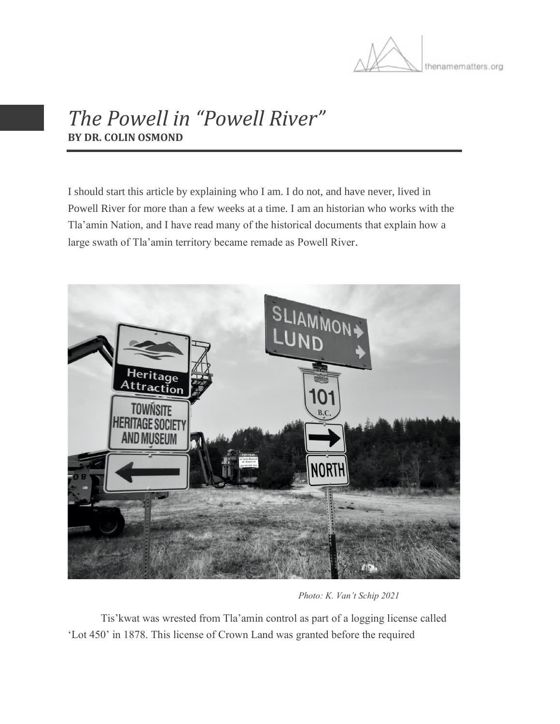

## *The Powell in "Powell River"* **BY DR. COLIN OSMOND**

I should start this article by explaining who I am. I do not, and have never, lived in Powell River for more than a few weeks at a time. I am an historian who works with the Tla'amin Nation, and I have read many of the historical documents that explain how a large swath of Tla'amin territory became remade as Powell River.



*Photo: K. Van't Schip 2021*

Tis'kwat was wrested from Tla'amin control as part of a logging license called 'Lot 450' in 1878. This license of Crown Land was granted before the required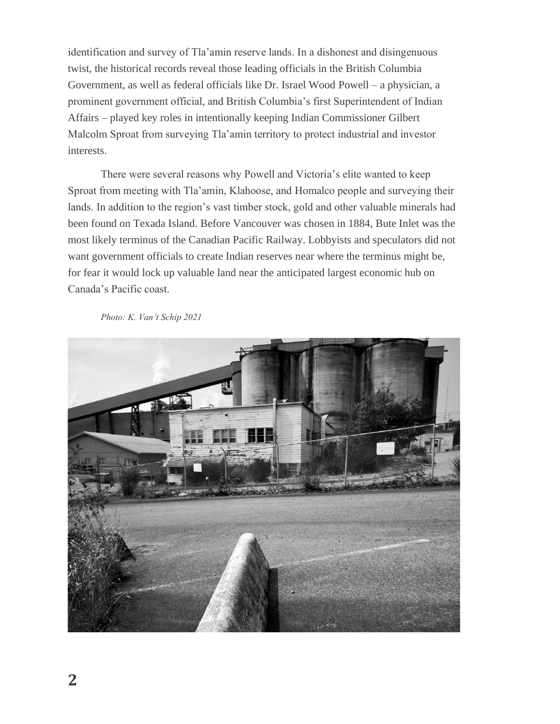identification and survey of Tla'amin reserve lands. In a dishonest and disingenuous twist, the historical records reveal those leading officials in the British Columbia Government, as well as federal officials like Dr. Israel Wood Powell – a physician, a prominent government official, and British Columbia's first Superintendent of Indian Affairs – played key roles in intentionally keeping Indian Commissioner Gilbert Malcolm Sproat from surveying Tla'amin territory to protect industrial and investor interests.

There were several reasons why Powell and Victoria's elite wanted to keep Sproat from meeting with Tla'amin, Klahoose, and Homalco people and surveying their lands. In addition to the region's vast timber stock, gold and other valuable minerals had been found on Texada Island. Before Vancouver was chosen in 1884, Bute Inlet was the most likely terminus of the Canadian Pacific Railway. Lobbyists and speculators did not want government officials to create Indian reserves near where the terminus might be, for fear it would lock up valuable land near the anticipated largest economic hub on Canada's Pacific coast.

*Photo: K. Van't Schip 2021*